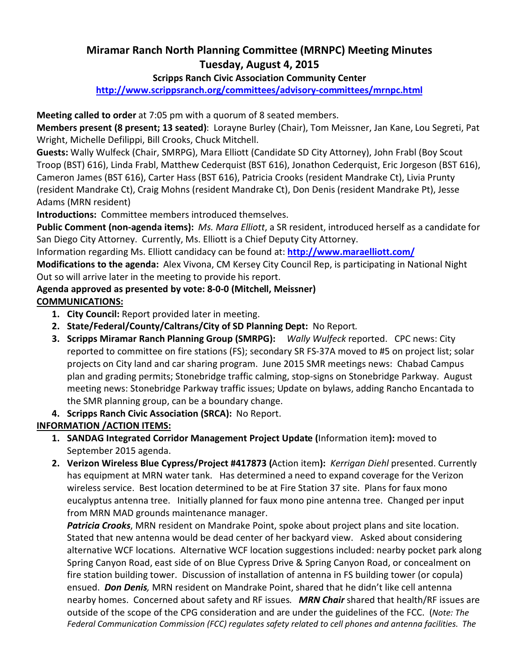## Miramar Ranch North Planning Committee (MRNPC) Meeting Minutes Tuesday, August 4, 2015

#### Scripps Ranch Civic Association Community Center

http://www.scrippsranch.org/committees/advisory-committees/mrnpc.html

Meeting called to order at 7:05 pm with a quorum of 8 seated members.

Members present (8 present; 13 seated): Lorayne Burley (Chair), Tom Meissner, Jan Kane, Lou Segreti, Pat Wright, Michelle Defilippi, Bill Crooks, Chuck Mitchell.

Guests: Wally Wulfeck (Chair, SMRPG), Mara Elliott (Candidate SD City Attorney), John Frabl (Boy Scout Troop (BST) 616), Linda Frabl, Matthew Cederquist (BST 616), Jonathon Cederquist, Eric Jorgeson (BST 616), Cameron James (BST 616), Carter Hass (BST 616), Patricia Crooks (resident Mandrake Ct), Livia Prunty (resident Mandrake Ct), Craig Mohns (resident Mandrake Ct), Don Denis (resident Mandrake Pt), Jesse Adams (MRN resident)

Introductions: Committee members introduced themselves.

Public Comment (non-agenda items): Ms. Mara Elliott, a SR resident, introduced herself as a candidate for San Diego City Attorney. Currently, Ms. Elliott is a Chief Deputy City Attorney.

Information regarding Ms. Elliott candidacy can be found at: http://www.maraelliott.com/

Modifications to the agenda: Alex Vivona, CM Kersey City Council Rep, is participating in National Night Out so will arrive later in the meeting to provide his report.

#### Agenda approved as presented by vote: 8-0-0 (Mitchell, Meissner) COMMUNICATIONS:

- 1. City Council: Report provided later in meeting.
- 2. State/Federal/County/Caltrans/City of SD Planning Dept: No Report.
- 3. Scripps Miramar Ranch Planning Group (SMRPG): Wally Wulfeck reported. CPC news: City reported to committee on fire stations (FS); secondary SR FS-37A moved to #5 on project list; solar projects on City land and car sharing program. June 2015 SMR meetings news: Chabad Campus plan and grading permits; Stonebridge traffic calming, stop-signs on Stonebridge Parkway. August meeting news: Stonebridge Parkway traffic issues; Update on bylaws, adding Rancho Encantada to the SMR planning group, can be a boundary change.

#### 4. Scripps Ranch Civic Association (SRCA): No Report.

#### INFORMATION /ACTION ITEMS:

- 1. SANDAG Integrated Corridor Management Project Update (Information item): moved to September 2015 agenda.
- 2. Verizon Wireless Blue Cypress/Project #417873 (Action item): Kerrigan Diehl presented. Currently has equipment at MRN water tank. Has determined a need to expand coverage for the Verizon wireless service. Best location determined to be at Fire Station 37 site. Plans for faux mono eucalyptus antenna tree. Initially planned for faux mono pine antenna tree. Changed per input from MRN MAD grounds maintenance manager.

Patricia Crooks, MRN resident on Mandrake Point, spoke about project plans and site location. Stated that new antenna would be dead center of her backyard view. Asked about considering alternative WCF locations. Alternative WCF location suggestions included: nearby pocket park along Spring Canyon Road, east side of on Blue Cypress Drive & Spring Canyon Road, or concealment on fire station building tower. Discussion of installation of antenna in FS building tower (or copula) ensued. Don Denis, MRN resident on Mandrake Point, shared that he didn't like cell antenna nearby homes. Concerned about safety and RF issues. MRN Chair shared that health/RF issues are outside of the scope of the CPG consideration and are under the guidelines of the FCC. (Note: The Federal Communication Commission (FCC) regulates safety related to cell phones and antenna facilities. The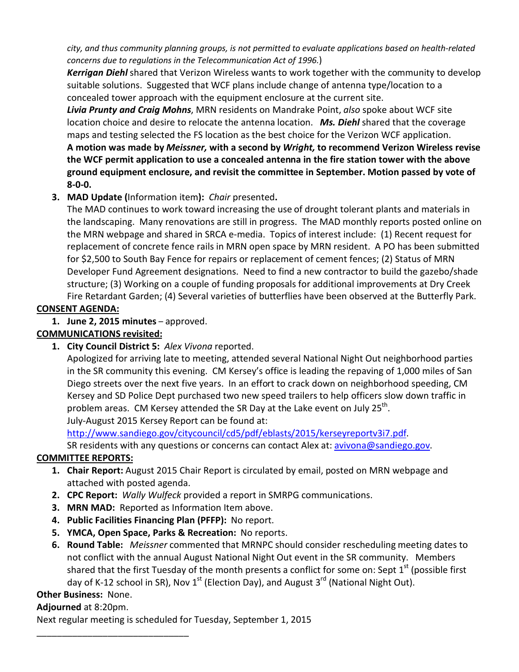city, and thus community planning groups, is not permitted to evaluate applications based on health-related concerns due to regulations in the Telecommunication Act of 1996.)

Kerrigan Diehl shared that Verizon Wireless wants to work together with the community to develop suitable solutions. Suggested that WCF plans include change of antenna type/location to a concealed tower approach with the equipment enclosure at the current site.

Livia Prunty and Craig Mohns, MRN residents on Mandrake Point, also spoke about WCF site location choice and desire to relocate the antenna location. Ms. Diehl shared that the coverage maps and testing selected the FS location as the best choice for the Verizon WCF application. A motion was made by Meissner, with a second by Wright, to recommend Verizon Wireless revise the WCF permit application to use a concealed antenna in the fire station tower with the above ground equipment enclosure, and revisit the committee in September. Motion passed by vote of 8-0-0.

#### 3. MAD Update (Information item): Chair presented.

The MAD continues to work toward increasing the use of drought tolerant plants and materials in the landscaping. Many renovations are still in progress. The MAD monthly reports posted online on the MRN webpage and shared in SRCA e-media. Topics of interest include: (1) Recent request for replacement of concrete fence rails in MRN open space by MRN resident. A PO has been submitted for \$2,500 to South Bay Fence for repairs or replacement of cement fences; (2) Status of MRN Developer Fund Agreement designations. Need to find a new contractor to build the gazebo/shade structure; (3) Working on a couple of funding proposals for additional improvements at Dry Creek Fire Retardant Garden; (4) Several varieties of butterflies have been observed at the Butterfly Park.

#### CONSENT AGENDA:

1. June 2, 2015 minutes – approved.

#### COMMUNICATIONS revisited:

1. City Council District 5: Alex Vivona reported.

Apologized for arriving late to meeting, attended several National Night Out neighborhood parties in the SR community this evening. CM Kersey's office is leading the repaving of 1,000 miles of San Diego streets over the next five years. In an effort to crack down on neighborhood speeding, CM Kersey and SD Police Dept purchased two new speed trailers to help officers slow down traffic in problem areas. CM Kersey attended the SR Day at the Lake event on July 25<sup>th</sup>. July-August 2015 Kersey Report can be found at:

http://www.sandiego.gov/citycouncil/cd5/pdf/eblasts/2015/kerseyreportv3i7.pdf.

SR residents with any questions or concerns can contact Alex at: avivona@sandiego.gov.

#### COMMITTEE REPORTS:

- 1. Chair Report: August 2015 Chair Report is circulated by email, posted on MRN webpage and attached with posted agenda.
- 2. CPC Report: Wally Wulfeck provided a report in SMRPG communications.
- 3. MRN MAD: Reported as Information Item above.
- 4. Public Facilities Financing Plan (PFFP): No report.
- 5. YMCA, Open Space, Parks & Recreation: No reports.
- 6. Round Table: Meissner commented that MRNPC should consider rescheduling meeting dates to not conflict with the annual August National Night Out event in the SR community. Members shared that the first Tuesday of the month presents a conflict for some on: Sept  $1<sup>st</sup>$  (possible first day of K-12 school in SR), Nov  $1<sup>st</sup>$  (Election Day), and August  $3<sup>rd</sup>$  (National Night Out).

#### Other Business: None.

Adjourned at 8:20pm.

\_\_\_\_\_\_\_\_\_\_\_\_\_\_\_\_\_\_\_\_\_\_\_\_\_\_\_\_\_\_

Next regular meeting is scheduled for Tuesday, September 1, 2015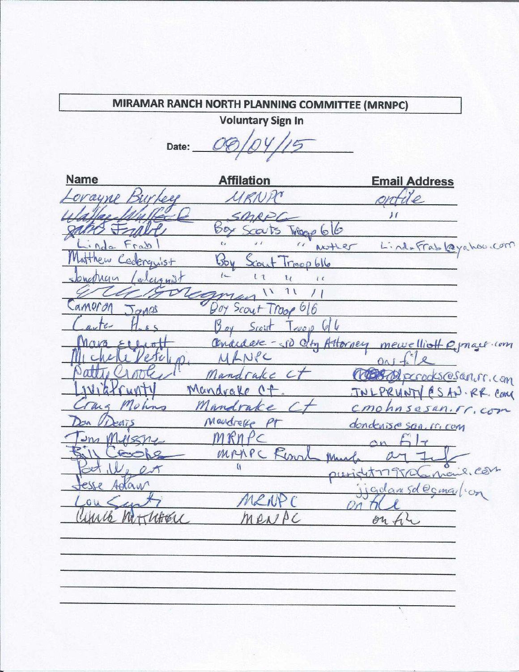# MIRAMAR RANCH NORTH PLANNING COMMITTEE (MRNPC)

**Voluntary Sign In** 

Date:

**Name Affilation Email Address** We URNIM oval రం Tricogno 6  $\infty$  is Linda Frableyahou.com  $\epsilon$  $\overline{1}$  $A \sim H R$  $B<sub>0</sub>$ Troop 616  $1s +$ le.  $\iota$  $\iota$  $\frac{1}{2}$  $\mathbf{1}$  $\prime$ Cameron by Scout Troop 616  $O_1AG$ 76.  $c$  or  $d$ Attorney mewellioff email com  $ec$ perodes@sen.rr.com Mandrake  $\mathcal{L}$ Mand ve V ESAN.RR. Com  $sesan.fr.corn$ Mandreke WISE SON, IT, COM  $P_C$  $Rn$ W M  $m_{\alpha}$ Rino MRKPC MA. Ù  $e_{\mathcal{S}}$ œ  $a_n$ sdecima  $C<sub>1</sub>$  $\alpha$ m MATCHEEL MRA AC  $\mathcal{U}_2$ 04